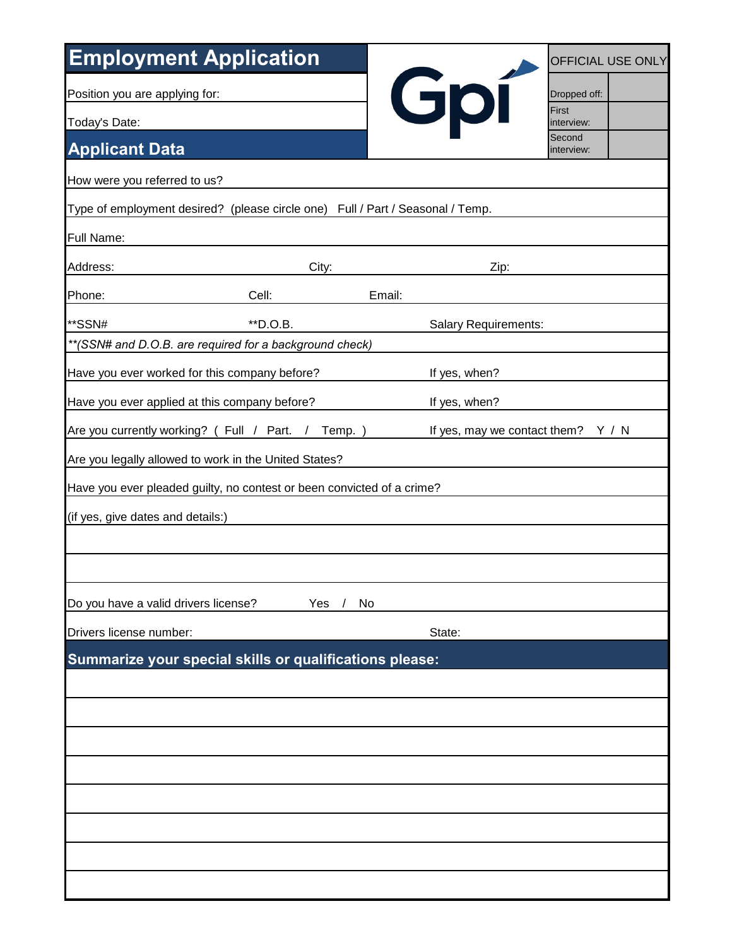| <b>Employment Application</b>                                                                              |           |                             | OFFICIAL USE ONLY    |  |
|------------------------------------------------------------------------------------------------------------|-----------|-----------------------------|----------------------|--|
| Position you are applying for:                                                                             |           | Gpí                         | Dropped off:         |  |
| Today's Date:                                                                                              |           |                             | First<br>interview:  |  |
| <b>Applicant Data</b>                                                                                      |           |                             | Second<br>interview: |  |
| How were you referred to us?                                                                               |           |                             |                      |  |
| Type of employment desired? (please circle one) Full / Part / Seasonal / Temp.                             |           |                             |                      |  |
| Full Name:                                                                                                 |           |                             |                      |  |
| Address:                                                                                                   | City:     | Zip:                        |                      |  |
| Phone:<br>Cell:                                                                                            |           | Email:                      |                      |  |
| **SSN#<br>**D.O.B.                                                                                         |           | <b>Salary Requirements:</b> |                      |  |
| ** (SSN# and D.O.B. are required for a background check)                                                   |           |                             |                      |  |
| Have you ever worked for this company before?                                                              |           | If yes, when?               |                      |  |
| Have you ever applied at this company before?                                                              |           | If yes, when?               |                      |  |
| Are you currently working? (Full / Part.<br>If yes, may we contact them?<br>Temp. )<br>Y / N<br>$\sqrt{2}$ |           |                             |                      |  |
| Are you legally allowed to work in the United States?                                                      |           |                             |                      |  |
| Have you ever pleaded guilty, no contest or been convicted of a crime?                                     |           |                             |                      |  |
| (if yes, give dates and details:)                                                                          |           |                             |                      |  |
|                                                                                                            |           |                             |                      |  |
|                                                                                                            |           |                             |                      |  |
| Do you have a valid drivers license?                                                                       | Yes<br>No |                             |                      |  |
| Drivers license number:                                                                                    |           | State:                      |                      |  |
| Summarize your special skills or qualifications please:                                                    |           |                             |                      |  |
|                                                                                                            |           |                             |                      |  |
|                                                                                                            |           |                             |                      |  |
|                                                                                                            |           |                             |                      |  |
|                                                                                                            |           |                             |                      |  |
|                                                                                                            |           |                             |                      |  |
|                                                                                                            |           |                             |                      |  |
|                                                                                                            |           |                             |                      |  |
|                                                                                                            |           |                             |                      |  |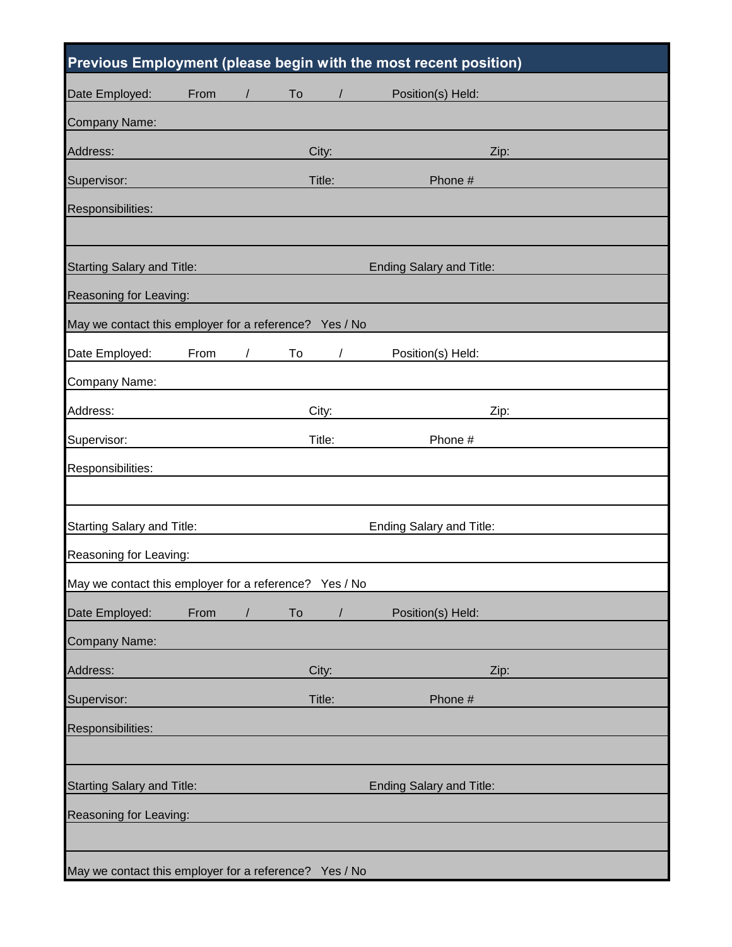|                                                        |                                                                      |            |        |                | Previous Employment (please begin with the most recent position) |      |
|--------------------------------------------------------|----------------------------------------------------------------------|------------|--------|----------------|------------------------------------------------------------------|------|
| Date Employed:                                         | From                                                                 |            | To     |                | Position(s) Held:                                                |      |
| Company Name:                                          |                                                                      |            |        |                |                                                                  |      |
| Address:                                               |                                                                      |            | City:  |                |                                                                  | Zip: |
| Supervisor:                                            |                                                                      |            | Title: |                | Phone #                                                          |      |
| Responsibilities:                                      |                                                                      |            |        |                |                                                                  |      |
|                                                        |                                                                      |            |        |                |                                                                  |      |
| <b>Starting Salary and Title:</b>                      |                                                                      |            |        |                | <b>Ending Salary and Title:</b>                                  |      |
| Reasoning for Leaving:                                 |                                                                      |            |        |                |                                                                  |      |
| May we contact this employer for a reference? Yes / No |                                                                      |            |        |                |                                                                  |      |
| Date Employed:                                         | From                                                                 | $\sqrt{2}$ | To     |                | Position(s) Held:                                                |      |
| Company Name:                                          |                                                                      |            |        |                |                                                                  |      |
| Address:                                               |                                                                      |            | City:  |                |                                                                  | Zip: |
| Supervisor:                                            |                                                                      |            | Title: |                | Phone #                                                          |      |
| Responsibilities:                                      |                                                                      |            |        |                |                                                                  |      |
|                                                        |                                                                      |            |        |                |                                                                  |      |
|                                                        | <b>Starting Salary and Title:</b><br><b>Ending Salary and Title:</b> |            |        |                |                                                                  |      |
| Reasoning for Leaving:                                 |                                                                      |            |        |                |                                                                  |      |
| May we contact this employer for a reference? Yes / No |                                                                      |            |        |                |                                                                  |      |
| Date Employed:                                         | From                                                                 | $\sqrt{2}$ | To     | $\overline{1}$ | Position(s) Held:                                                |      |
| Company Name:                                          |                                                                      |            |        |                |                                                                  |      |
| Address:                                               |                                                                      |            | City:  |                |                                                                  | Zip: |
| Supervisor:                                            |                                                                      |            | Title: |                | Phone #                                                          |      |
| Responsibilities:                                      |                                                                      |            |        |                |                                                                  |      |
|                                                        |                                                                      |            |        |                |                                                                  |      |
| <b>Starting Salary and Title:</b>                      |                                                                      |            |        |                | Ending Salary and Title:                                         |      |
| Reasoning for Leaving:                                 |                                                                      |            |        |                |                                                                  |      |
|                                                        |                                                                      |            |        |                |                                                                  |      |
| May we contact this employer for a reference? Yes / No |                                                                      |            |        |                |                                                                  |      |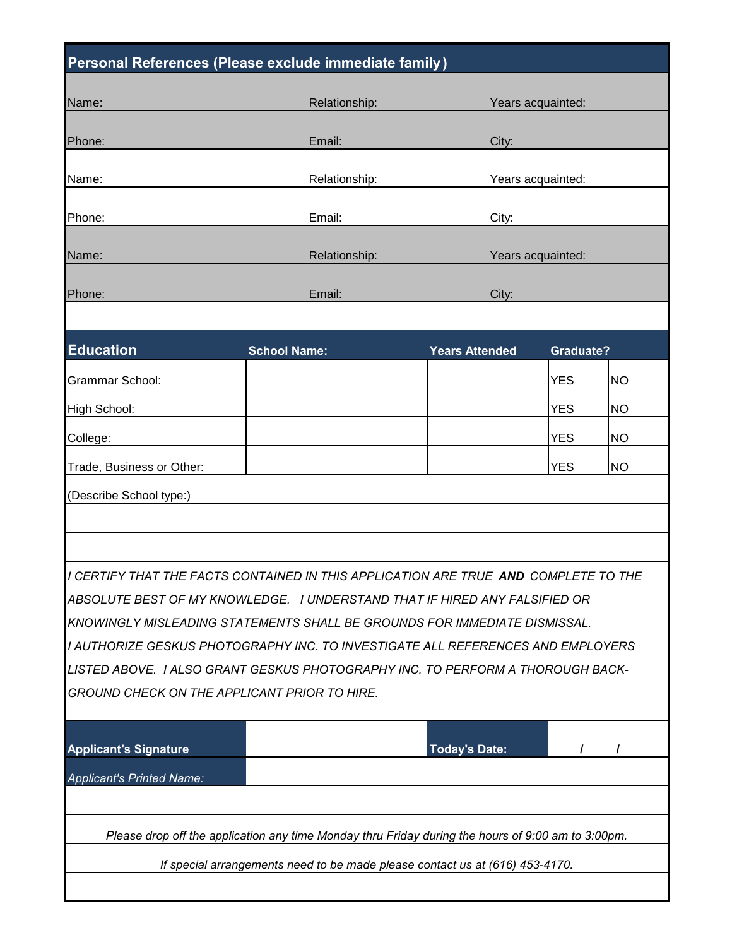| Personal References (Please exclude immediate family)                                              |                                                                                            |                       |                  |           |  |
|----------------------------------------------------------------------------------------------------|--------------------------------------------------------------------------------------------|-----------------------|------------------|-----------|--|
| Name:                                                                                              | Relationship:                                                                              | Years acquainted:     |                  |           |  |
|                                                                                                    |                                                                                            |                       |                  |           |  |
| Phone:                                                                                             | Email:                                                                                     | City:                 |                  |           |  |
| Name:                                                                                              | Relationship:                                                                              | Years acquainted:     |                  |           |  |
| Phone:                                                                                             | Email:                                                                                     | City:                 |                  |           |  |
| Name:                                                                                              | Relationship:                                                                              | Years acquainted:     |                  |           |  |
| Phone:                                                                                             | Email:                                                                                     |                       |                  |           |  |
|                                                                                                    |                                                                                            | City:                 |                  |           |  |
|                                                                                                    |                                                                                            |                       |                  |           |  |
| <b>Education</b>                                                                                   | <b>School Name:</b>                                                                        | <b>Years Attended</b> | <b>Graduate?</b> |           |  |
| Grammar School:                                                                                    |                                                                                            |                       | <b>YES</b>       | <b>NO</b> |  |
| High School:                                                                                       |                                                                                            |                       | <b>YES</b>       | <b>NO</b> |  |
| College:                                                                                           |                                                                                            |                       | <b>YES</b>       | <b>NO</b> |  |
| Trade, Business or Other:                                                                          |                                                                                            |                       | <b>YES</b>       | <b>NO</b> |  |
| (Describe School type:)                                                                            |                                                                                            |                       |                  |           |  |
|                                                                                                    |                                                                                            |                       |                  |           |  |
|                                                                                                    |                                                                                            |                       |                  |           |  |
|                                                                                                    | I CERTIFY THAT THE FACTS CONTAINED IN THIS APPLICATION ARE TRUE <b>AND</b> COMPLETE TO THE |                       |                  |           |  |
| ABSOLUTE BEST OF MY KNOWLEDGE. I UNDERSTAND THAT IF HIRED ANY FALSIFIED OR                         |                                                                                            |                       |                  |           |  |
| KNOWINGLY MISLEADING STATEMENTS SHALL BE GROUNDS FOR IMMEDIATE DISMISSAL.                          |                                                                                            |                       |                  |           |  |
| I AUTHORIZE GESKUS PHOTOGRAPHY INC. TO INVESTIGATE ALL REFERENCES AND EMPLOYERS                    |                                                                                            |                       |                  |           |  |
| LISTED ABOVE. I ALSO GRANT GESKUS PHOTOGRAPHY INC. TO PERFORM A THOROUGH BACK-                     |                                                                                            |                       |                  |           |  |
| <b>GROUND CHECK ON THE APPLICANT PRIOR TO HIRE.</b>                                                |                                                                                            |                       |                  |           |  |
| <b>Applicant's Signature</b>                                                                       |                                                                                            | <b>Today's Date:</b>  | T                |           |  |
| <b>Applicant's Printed Name:</b>                                                                   |                                                                                            |                       |                  |           |  |
|                                                                                                    |                                                                                            |                       |                  |           |  |
| Please drop off the application any time Monday thru Friday during the hours of 9:00 am to 3:00pm. |                                                                                            |                       |                  |           |  |
|                                                                                                    | If special arrangements need to be made please contact us at (616) 453-4170.               |                       |                  |           |  |
|                                                                                                    |                                                                                            |                       |                  |           |  |